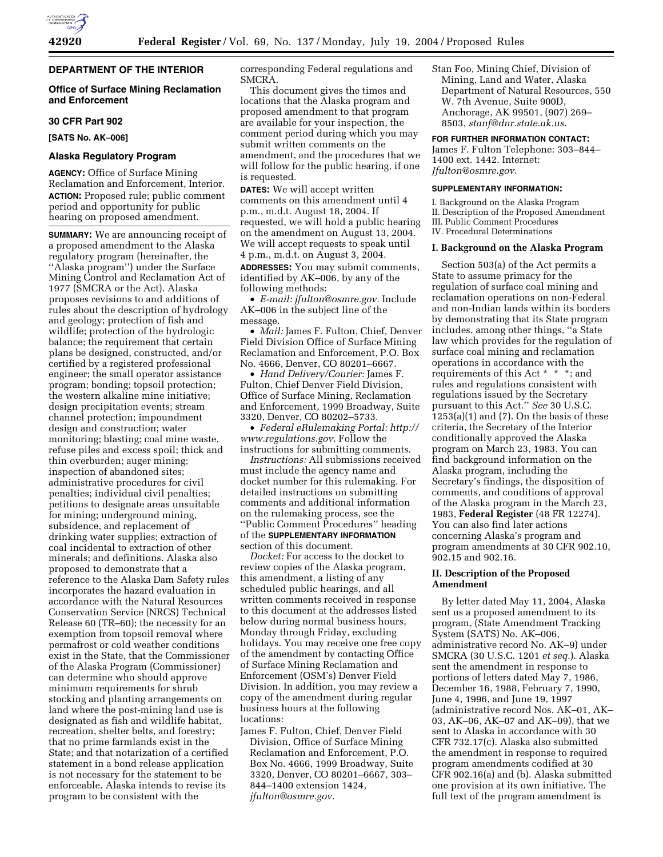# **DEPARTMENT OF THE INTERIOR**

# **Office of Surface Mining Reclamation and Enforcement**

## **30 CFR Part 902**

**[SATS No. AK–006]** 

## **Alaska Regulatory Program**

**AGENCY:** Office of Surface Mining Reclamation and Enforcement, Interior. **ACTION:** Proposed rule; public comment period and opportunity for public hearing on proposed amendment.

**SUMMARY:** We are announcing receipt of a proposed amendment to the Alaska regulatory program (hereinafter, the ''Alaska program'') under the Surface Mining Control and Reclamation Act of 1977 (SMCRA or the Act). Alaska proposes revisions to and additions of rules about the description of hydrology and geology; protection of fish and wildlife; protection of the hydrologic balance; the requirement that certain plans be designed, constructed, and/or certified by a registered professional engineer; the small operator assistance program; bonding; topsoil protection; the western alkaline mine initiative; design precipitation events; stream channel protection; impoundment design and construction; water monitoring; blasting; coal mine waste, refuse piles and excess spoil; thick and thin overburden; auger mining; inspection of abandoned sites; administrative procedures for civil penalties; individual civil penalties; petitions to designate areas unsuitable for mining; underground mining, subsidence, and replacement of drinking water supplies; extraction of coal incidental to extraction of other minerals; and definitions. Alaska also proposed to demonstrate that a reference to the Alaska Dam Safety rules incorporates the hazard evaluation in accordance with the Natural Resources Conservation Service (NRCS) Technical Release 60 (TR–60); the necessity for an exemption from topsoil removal where permafrost or cold weather conditions exist in the State, that the Commissioner of the Alaska Program (Commissioner) can determine who should approve minimum requirements for shrub stocking and planting arrangements on land where the post-mining land use is designated as fish and wildlife habitat, recreation, shelter belts, and forestry; that no prime farmlands exist in the State; and that notarization of a certified statement in a bond release application is not necessary for the statement to be enforceable. Alaska intends to revise its program to be consistent with the

corresponding Federal regulations and SMCRA.

This document gives the times and locations that the Alaska program and proposed amendment to that program are available for your inspection, the comment period during which you may submit written comments on the amendment, and the procedures that we will follow for the public hearing, if one is requested.

**DATES:** We will accept written comments on this amendment until 4 p.m., m.d.t. August 18, 2004. If requested, we will hold a public hearing on the amendment on August 13, 2004. We will accept requests to speak until 4 p.m., m.d.t. on August 3, 2004. **ADDRESSES:** You may submit comments, identified by AK–006, by any of the following methods:

• *E-mail: jfulton@osmre.gov.* Include AK–006 in the subject line of the message.

• *Mail:* James F. Fulton, Chief, Denver Field Division Office of Surface Mining Reclamation and Enforcement, P.O. Box No. 4666, Denver, CO 80201–6667.

• *Hand Delivery/Courier:* James F. Fulton, Chief Denver Field Division, Office of Surface Mining, Reclamation and Enforcement, 1999 Broadway, Suite 3320, Denver, CO 80202–5733.

• *Federal eRulemaking Portal: http:// www.regulations.gov*. Follow the instructions for submitting comments.

*Instructions:* All submissions received must include the agency name and docket number for this rulemaking. For detailed instructions on submitting comments and additional information on the rulemaking process, see the ''Public Comment Procedures'' heading of the **SUPPLEMENTARY INFORMATION** section of this document.

*Docket:* For access to the docket to review copies of the Alaska program, this amendment, a listing of any scheduled public hearings, and all written comments received in response to this document at the addresses listed below during normal business hours, Monday through Friday, excluding holidays. You may receive one free copy of the amendment by contacting Office of Surface Mining Reclamation and Enforcement (OSM's) Denver Field Division. In addition, you may review a copy of the amendment during regular business hours at the following locations:

James F. Fulton, Chief, Denver Field Division, Office of Surface Mining Reclamation and Enforcement, P.O. Box No. 4666, 1999 Broadway, Suite 3320, Denver, CO 80201–6667, 303– 844–1400 extension 1424, *jfulton@osmre.gov*.

Stan Foo, Mining Chief, Division of Mining, Land and Water, Alaska Department of Natural Resources, 550 W. 7th Avenue, Suite 900D, Anchorage, AK 99501, (907) 269– 8503, *stanf@dnr.state.ak.us*.

### **FOR FURTHER INFORMATION CONTACT:**

James F. Fulton Telephone: 303–844– 1400 ext. 1442. Internet: *Jfulton@osmre.gov*.

# **SUPPLEMENTARY INFORMATION:**

I. Background on the Alaska Program II. Description of the Proposed Amendment III. Public Comment Procedures IV. Procedural Determinations

# **I. Background on the Alaska Program**

Section 503(a) of the Act permits a State to assume primacy for the regulation of surface coal mining and reclamation operations on non-Federal and non-Indian lands within its borders by demonstrating that its State program includes, among other things, ''a State law which provides for the regulation of surface coal mining and reclamation operations in accordance with the requirements of this Act \* \* \*; and rules and regulations consistent with regulations issued by the Secretary pursuant to this Act.'' *See* 30 U.S.C.  $1253(a)(1)$  and  $(7)$ . On the basis of these criteria, the Secretary of the Interior conditionally approved the Alaska program on March 23, 1983. You can find background information on the Alaska program, including the Secretary's findings, the disposition of comments, and conditions of approval of the Alaska program in the March 23, 1983, **Federal Register** (48 FR 12274). You can also find later actions concerning Alaska's program and program amendments at 30 CFR 902.10, 902.15 and 902.16.

### **II. Description of the Proposed Amendment**

By letter dated May 11, 2004, Alaska sent us a proposed amendment to its program, (State Amendment Tracking System (SATS) No. AK–006, administrative record No. AK–9) under SMCRA (30 U.S.C. 1201 *et seq.*). Alaska sent the amendment in response to portions of letters dated May 7, 1986, December 16, 1988, February 7, 1990, June 4, 1996, and June 19, 1997 (administrative record Nos. AK–01, AK– 03, AK–06, AK–07 and AK–09), that we sent to Alaska in accordance with 30 CFR 732.17(c). Alaska also submitted the amendment in response to required program amendments codified at 30 CFR 902.16(a) and (b). Alaska submitted one provision at its own initiative. The full text of the program amendment is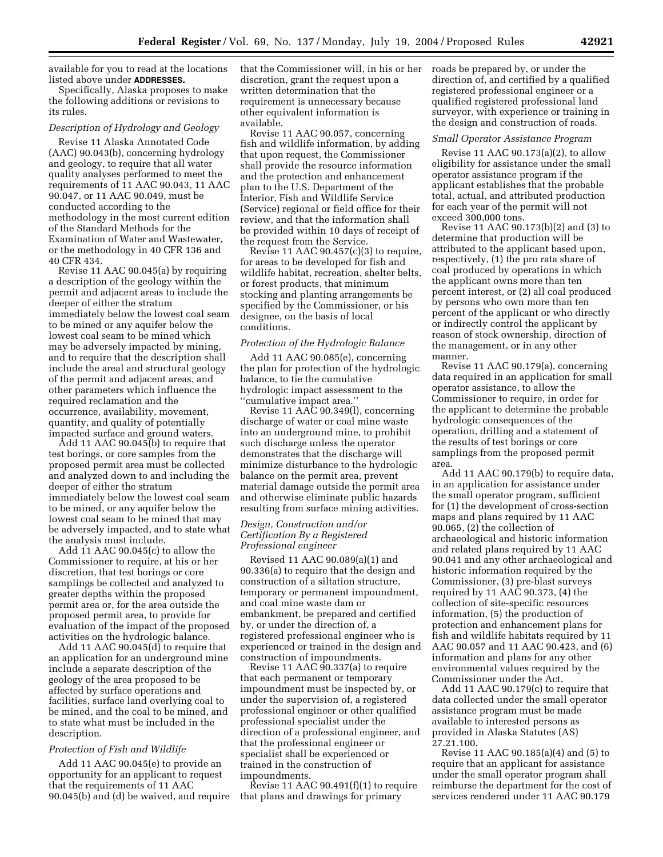available for you to read at the locations listed above under **ADDRESSES.**

Specifically, Alaska proposes to make the following additions or revisions to its rules.

### *Description of Hydrology and Geology*

Revise 11 Alaska Annotated Code (AAC) 90.043(b), concerning hydrology and geology, to require that all water quality analyses performed to meet the requirements of 11 AAC 90.043, 11 AAC 90.047, or 11 AAC 90.049, must be conducted according to the methodology in the most current edition of the Standard Methods for the Examination of Water and Wastewater, or the methodology in 40 CFR 136 and 40 CFR 434.

Revise 11 AAC 90.045(a) by requiring a description of the geology within the permit and adjacent areas to include the deeper of either the stratum immediately below the lowest coal seam to be mined or any aquifer below the lowest coal seam to be mined which may be adversely impacted by mining, and to require that the description shall include the areal and structural geology of the permit and adjacent areas, and other parameters which influence the required reclamation and the occurrence, availability, movement, quantity, and quality of potentially impacted surface and ground waters.

Add 11 AAC 90.045(b) to require that test borings, or core samples from the proposed permit area must be collected and analyzed down to and including the deeper of either the stratum immediately below the lowest coal seam to be mined, or any aquifer below the lowest coal seam to be mined that may be adversely impacted, and to state what the analysis must include.

Add 11 AAC 90.045(c) to allow the Commissioner to require, at his or her discretion, that test borings or core samplings be collected and analyzed to greater depths within the proposed permit area or, for the area outside the proposed permit area, to provide for evaluation of the impact of the proposed activities on the hydrologic balance.

Add 11 AAC 90.045(d) to require that an application for an underground mine include a separate description of the geology of the area proposed to be affected by surface operations and facilities, surface land overlying coal to be mined, and the coal to be mined, and to state what must be included in the description.

### *Protection of Fish and Wildlife*

Add 11 AAC 90.045(e) to provide an opportunity for an applicant to request that the requirements of 11 AAC 90.045(b) and (d) be waived, and require that the Commissioner will, in his or her discretion, grant the request upon a written determination that the requirement is unnecessary because other equivalent information is available.

Revise 11 AAC 90.057, concerning fish and wildlife information, by adding that upon request, the Commissioner shall provide the resource information and the protection and enhancement plan to the U.S. Department of the Interior, Fish and Wildlife Service (Service) regional or field office for their review, and that the information shall be provided within 10 days of receipt of the request from the Service.

Revise 11 AAC  $90.457(c)(3)$  to require, for areas to be developed for fish and wildlife habitat, recreation, shelter belts, or forest products, that minimum stocking and planting arrangements be specified by the Commissioner, or his designee, on the basis of local conditions.

## *Protection of the Hydrologic Balance*

Add 11 AAC 90.085(e), concerning the plan for protection of the hydrologic balance, to tie the cumulative hydrologic impact assessment to the ''cumulative impact area.''

Revise 11 AAC 90.349(l), concerning discharge of water or coal mine waste into an underground mine, to prohibit such discharge unless the operator demonstrates that the discharge will minimize disturbance to the hydrologic balance on the permit area, prevent material damage outside the permit area and otherwise eliminate public hazards resulting from surface mining activities.

# *Design, Construction and/or Certification By a Registered Professional engineer*

Revised 11 AAC 90.089(a)(1) and 90.336(a) to require that the design and construction of a siltation structure, temporary or permanent impoundment, and coal mine waste dam or embankment, be prepared and certified by, or under the direction of, a registered professional engineer who is experienced or trained in the design and construction of impoundments.

Revise 11 AAC 90.337(a) to require that each permanent or temporary impoundment must be inspected by, or under the supervision of, a registered professional engineer or other qualified professional specialist under the direction of a professional engineer, and that the professional engineer or specialist shall be experienced or trained in the construction of impoundments.

Revise 11 AAC  $90.491(f)(1)$  to require that plans and drawings for primary

roads be prepared by, or under the direction of, and certified by a qualified registered professional engineer or a qualified registered professional land surveyor, with experience or training in the design and construction of roads.

#### *Small Operator Assistance Program*

Revise 11 AAC 90.173(a)(2), to allow eligibility for assistance under the small operator assistance program if the applicant establishes that the probable total, actual, and attributed production for each year of the permit will not exceed 300,000 tons.

Revise 11 AAC 90.173(b)(2) and (3) to determine that production will be attributed to the applicant based upon, respectively, (1) the pro rata share of coal produced by operations in which the applicant owns more than ten percent interest, or (2) all coal produced by persons who own more than ten percent of the applicant or who directly or indirectly control the applicant by reason of stock ownership, direction of the management, or in any other manner.

Revise 11 AAC 90.179(a), concerning data required in an application for small operator assistance, to allow the Commissioner to require, in order for the applicant to determine the probable hydrologic consequences of the operation, drilling and a statement of the results of test borings or core samplings from the proposed permit area.

Add 11 AAC 90.179(b) to require data, in an application for assistance under the small operator program, sufficient for (1) the development of cross-section maps and plans required by 11 AAC 90.065, (2) the collection of archaeological and historic information and related plans required by 11 AAC 90.041 and any other archaeological and historic information required by the Commissioner, (3) pre-blast surveys required by 11 AAC 90.373, (4) the collection of site-specific resources information, (5) the production of protection and enhancement plans for fish and wildlife habitats required by 11 AAC 90.057 and 11 AAC 90.423, and (6) information and plans for any other environmental values required by the Commissioner under the Act.

Add 11 AAC 90.179(c) to require that data collected under the small operator assistance program must be made available to interested persons as provided in Alaska Statutes (AS) 27.21.100.

Revise 11 AAC 90.185(a)(4) and (5) to require that an applicant for assistance under the small operator program shall reimburse the department for the cost of services rendered under 11 AAC 90.179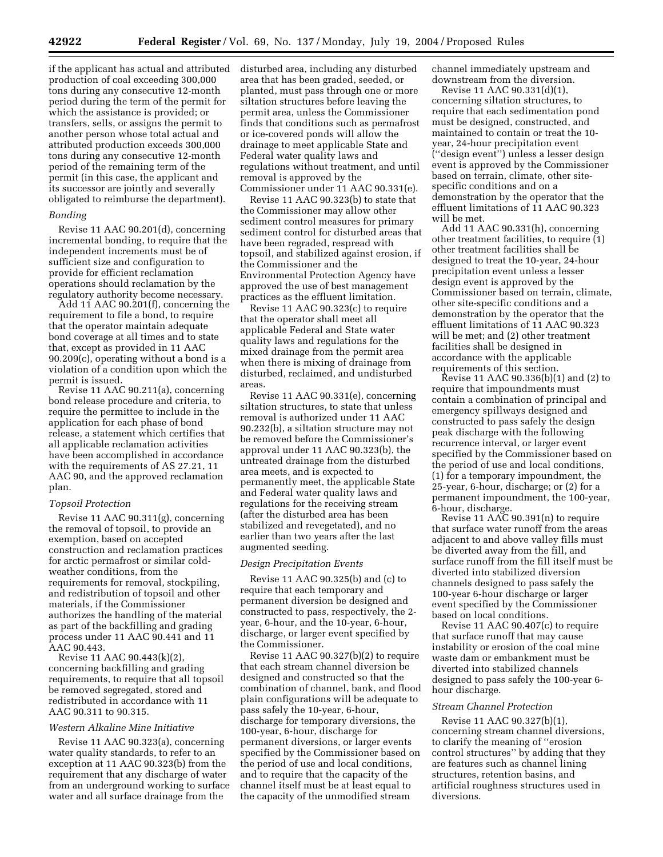if the applicant has actual and attributed production of coal exceeding 300,000 tons during any consecutive 12-month period during the term of the permit for which the assistance is provided; or transfers, sells, or assigns the permit to another person whose total actual and attributed production exceeds 300,000 tons during any consecutive 12-month period of the remaining term of the permit (in this case, the applicant and its successor are jointly and severally obligated to reimburse the department).

### *Bonding*

Revise 11 AAC 90.201(d), concerning incremental bonding, to require that the independent increments must be of sufficient size and configuration to provide for efficient reclamation operations should reclamation by the regulatory authority become necessary.

Add 11 AAC 90.201(f), concerning the requirement to file a bond, to require that the operator maintain adequate bond coverage at all times and to state that, except as provided in 11 AAC 90.209(c), operating without a bond is a violation of a condition upon which the permit is issued.

Revise 11 AAC 90.211(a), concerning bond release procedure and criteria, to require the permittee to include in the application for each phase of bond release, a statement which certifies that all applicable reclamation activities have been accomplished in accordance with the requirements of AS 27.21, 11 AAC 90, and the approved reclamation plan.

### *Topsoil Protection*

Revise 11 AAC 90.311(g), concerning the removal of topsoil, to provide an exemption, based on accepted construction and reclamation practices for arctic permafrost or similar coldweather conditions, from the requirements for removal, stockpiling, and redistribution of topsoil and other materials, if the Commissioner authorizes the handling of the material as part of the backfilling and grading process under 11 AAC 90.441 and 11 AAC 90.443.

Revise 11 AAC 90.443(k)(2), concerning backfilling and grading requirements, to require that all topsoil be removed segregated, stored and redistributed in accordance with 11 AAC 90.311 to 90.315.

### *Western Alkaline Mine Initiative*

Revise 11 AAC 90.323(a), concerning water quality standards, to refer to an exception at 11 AAC 90.323(b) from the requirement that any discharge of water from an underground working to surface water and all surface drainage from the

disturbed area, including any disturbed area that has been graded, seeded, or planted, must pass through one or more siltation structures before leaving the permit area, unless the Commissioner finds that conditions such as permafrost or ice-covered ponds will allow the drainage to meet applicable State and Federal water quality laws and regulations without treatment, and until removal is approved by the Commissioner under 11 AAC 90.331(e).

Revise 11 AAC 90.323(b) to state that the Commissioner may allow other sediment control measures for primary sediment control for disturbed areas that have been regraded, respread with topsoil, and stabilized against erosion, if the Commissioner and the Environmental Protection Agency have approved the use of best management practices as the effluent limitation.

Revise 11 AAC 90.323(c) to require that the operator shall meet all applicable Federal and State water quality laws and regulations for the mixed drainage from the permit area when there is mixing of drainage from disturbed, reclaimed, and undisturbed areas.

Revise 11 AAC 90.331(e), concerning siltation structures, to state that unless removal is authorized under 11 AAC 90.232(b), a siltation structure may not be removed before the Commissioner's approval under 11 AAC 90.323(b), the untreated drainage from the disturbed area meets, and is expected to permanently meet, the applicable State and Federal water quality laws and regulations for the receiving stream (after the disturbed area has been stabilized and revegetated), and no earlier than two years after the last augmented seeding.

### *Design Precipitation Events*

Revise 11 AAC 90.325(b) and (c) to require that each temporary and permanent diversion be designed and constructed to pass, respectively, the 2 year, 6-hour, and the 10-year, 6-hour, discharge, or larger event specified by the Commissioner.

Revise 11 AAC 90.327(b)(2) to require that each stream channel diversion be designed and constructed so that the combination of channel, bank, and flood plain configurations will be adequate to pass safely the 10-year, 6-hour, discharge for temporary diversions, the 100-year, 6-hour, discharge for permanent diversions, or larger events specified by the Commissioner based on the period of use and local conditions, and to require that the capacity of the channel itself must be at least equal to the capacity of the unmodified stream

channel immediately upstream and downstream from the diversion.

Revise 11 AAC 90.331(d)(1), concerning siltation structures, to require that each sedimentation pond must be designed, constructed, and maintained to contain or treat the 10 year, 24-hour precipitation event (''design event'') unless a lesser design event is approved by the Commissioner based on terrain, climate, other sitespecific conditions and on a demonstration by the operator that the effluent limitations of 11 AAC 90.323 will be met.

Add 11 AAC 90.331(h), concerning other treatment facilities, to require (1) other treatment facilities shall be designed to treat the 10-year, 24-hour precipitation event unless a lesser design event is approved by the Commissioner based on terrain, climate, other site-specific conditions and a demonstration by the operator that the effluent limitations of 11 AAC 90.323 will be met; and (2) other treatment facilities shall be designed in accordance with the applicable requirements of this section.

Revise 11 AAC 90.336(b)(1) and (2) to require that impoundments must contain a combination of principal and emergency spillways designed and constructed to pass safely the design peak discharge with the following recurrence interval, or larger event specified by the Commissioner based on the period of use and local conditions, (1) for a temporary impoundment, the 25-year, 6-hour, discharge; or (2) for a permanent impoundment, the 100-year, 6-hour, discharge.

Revise 11 AAC 90.391(n) to require that surface water runoff from the areas adjacent to and above valley fills must be diverted away from the fill, and surface runoff from the fill itself must be diverted into stabilized diversion channels designed to pass safely the 100-year 6-hour discharge or larger event specified by the Commissioner based on local conditions.

Revise 11 AAC 90.407(c) to require that surface runoff that may cause instability or erosion of the coal mine waste dam or embankment must be diverted into stabilized channels designed to pass safely the 100-year 6 hour discharge.

#### *Stream Channel Protection*

Revise 11 AAC 90.327(b)(1), concerning stream channel diversions, to clarify the meaning of ''erosion control structures'' by adding that they are features such as channel lining structures, retention basins, and artificial roughness structures used in diversions.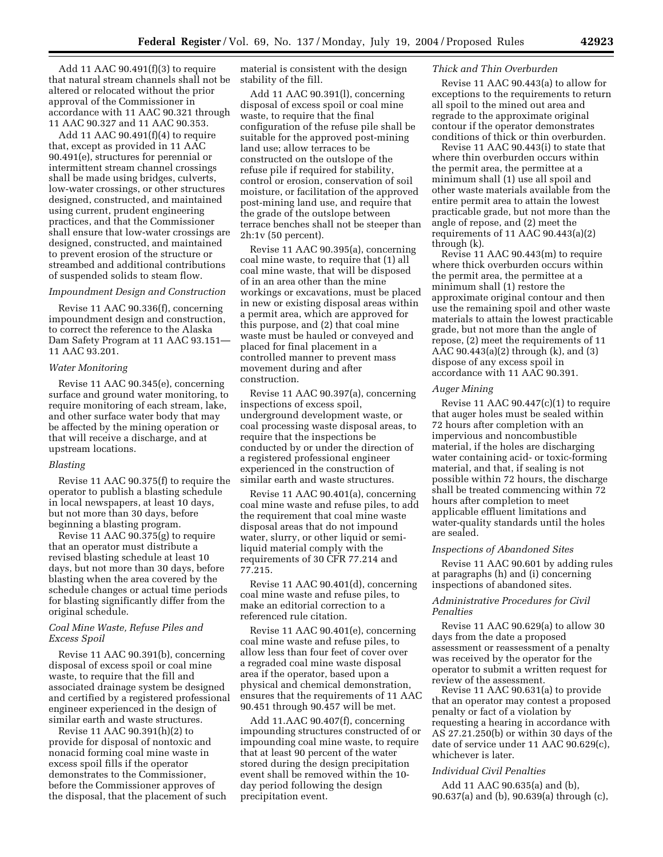Add 11 AAC 90.491(f)(3) to require that natural stream channels shall not be altered or relocated without the prior approval of the Commissioner in accordance with 11 AAC 90.321 through 11 AAC 90.327 and 11 AAC 90.353.

Add 11 AAC 90.491(f)(4) to require that, except as provided in 11 AAC 90.491(e), structures for perennial or intermittent stream channel crossings shall be made using bridges, culverts, low-water crossings, or other structures designed, constructed, and maintained using current, prudent engineering practices, and that the Commissioner shall ensure that low-water crossings are designed, constructed, and maintained to prevent erosion of the structure or streambed and additional contributions of suspended solids to steam flow.

## *Impoundment Design and Construction*

Revise 11 AAC 90.336(f), concerning impoundment design and construction, to correct the reference to the Alaska Dam Safety Program at 11 AAC 93.151— 11 AAC 93.201.

### *Water Monitoring*

Revise 11 AAC 90.345(e), concerning surface and ground water monitoring, to require monitoring of each stream, lake, and other surface water body that may be affected by the mining operation or that will receive a discharge, and at upstream locations.

### *Blasting*

Revise 11 AAC 90.375(f) to require the operator to publish a blasting schedule in local newspapers, at least 10 days, but not more than 30 days, before beginning a blasting program.

Revise 11 AAC 90.375(g) to require that an operator must distribute a revised blasting schedule at least 10 days, but not more than 30 days, before blasting when the area covered by the schedule changes or actual time periods for blasting significantly differ from the original schedule.

## *Coal Mine Waste, Refuse Piles and Excess Spoil*

Revise 11 AAC 90.391(b), concerning disposal of excess spoil or coal mine waste, to require that the fill and associated drainage system be designed and certified by a registered professional engineer experienced in the design of similar earth and waste structures.

Revise 11 AAC 90.391(h)(2) to provide for disposal of nontoxic and nonacid forming coal mine waste in excess spoil fills if the operator demonstrates to the Commissioner, before the Commissioner approves of the disposal, that the placement of such

material is consistent with the design stability of the fill.

Add 11 AAC 90.391(l), concerning disposal of excess spoil or coal mine waste, to require that the final configuration of the refuse pile shall be suitable for the approved post-mining land use; allow terraces to be constructed on the outslope of the refuse pile if required for stability, control or erosion, conservation of soil moisture, or facilitation of the approved post-mining land use, and require that the grade of the outslope between terrace benches shall not be steeper than 2h:1v (50 percent).

Revise 11 AAC 90.395(a), concerning coal mine waste, to require that (1) all coal mine waste, that will be disposed of in an area other than the mine workings or excavations, must be placed in new or existing disposal areas within a permit area, which are approved for this purpose, and (2) that coal mine waste must be hauled or conveyed and placed for final placement in a controlled manner to prevent mass movement during and after construction.

Revise 11 AAC 90.397(a), concerning inspections of excess spoil, underground development waste, or coal processing waste disposal areas, to require that the inspections be conducted by or under the direction of a registered professional engineer experienced in the construction of similar earth and waste structures.

Revise 11 AAC 90.401(a), concerning coal mine waste and refuse piles, to add the requirement that coal mine waste disposal areas that do not impound water, slurry, or other liquid or semiliquid material comply with the requirements of 30 CFR 77.214 and 77.215.

Revise 11 AAC 90.401(d), concerning coal mine waste and refuse piles, to make an editorial correction to a referenced rule citation.

Revise 11 AAC 90.401(e), concerning coal mine waste and refuse piles, to allow less than four feet of cover over a regraded coal mine waste disposal area if the operator, based upon a physical and chemical demonstration, ensures that the requirements of 11 AAC 90.451 through 90.457 will be met.

Add 11.AAC 90.407(f), concerning impounding structures constructed of or impounding coal mine waste, to require that at least 90 percent of the water stored during the design precipitation event shall be removed within the 10 day period following the design precipitation event.

## *Thick and Thin Overburden*

Revise 11 AAC 90.443(a) to allow for exceptions to the requirements to return all spoil to the mined out area and regrade to the approximate original contour if the operator demonstrates conditions of thick or thin overburden.

Revise 11 AAC 90.443(i) to state that where thin overburden occurs within the permit area, the permittee at a minimum shall (1) use all spoil and other waste materials available from the entire permit area to attain the lowest practicable grade, but not more than the angle of repose, and (2) meet the requirements of 11 AAC 90.443(a)(2) through (k).

Revise 11 AAC 90.443(m) to require where thick overburden occurs within the permit area, the permittee at a minimum shall (1) restore the approximate original contour and then use the remaining spoil and other waste materials to attain the lowest practicable grade, but not more than the angle of repose, (2) meet the requirements of 11 AAC 90.443(a)(2) through (k), and (3) dispose of any excess spoil in accordance with 11 AAC 90.391.

#### *Auger Mining*

Revise 11 AAC 90.447(c)(1) to require that auger holes must be sealed within 72 hours after completion with an impervious and noncombustible material, if the holes are discharging water containing acid- or toxic-forming material, and that, if sealing is not possible within 72 hours, the discharge shall be treated commencing within 72 hours after completion to meet applicable effluent limitations and water-quality standards until the holes are sealed.

### *Inspections of Abandoned Sites*

Revise 11 AAC 90.601 by adding rules at paragraphs (h) and (i) concerning inspections of abandoned sites.

## *Administrative Procedures for Civil Penalties*

Revise 11 AAC 90.629(a) to allow 30 days from the date a proposed assessment or reassessment of a penalty was received by the operator for the operator to submit a written request for review of the assessment.

Revise 11 AAC 90.631(a) to provide that an operator may contest a proposed penalty or fact of a violation by requesting a hearing in accordance with AS 27.21.250(b) or within 30 days of the date of service under 11 AAC 90.629(c), whichever is later.

### *Individual Civil Penalties*

Add 11 AAC 90.635(a) and (b), 90.637(a) and (b), 90.639(a) through (c),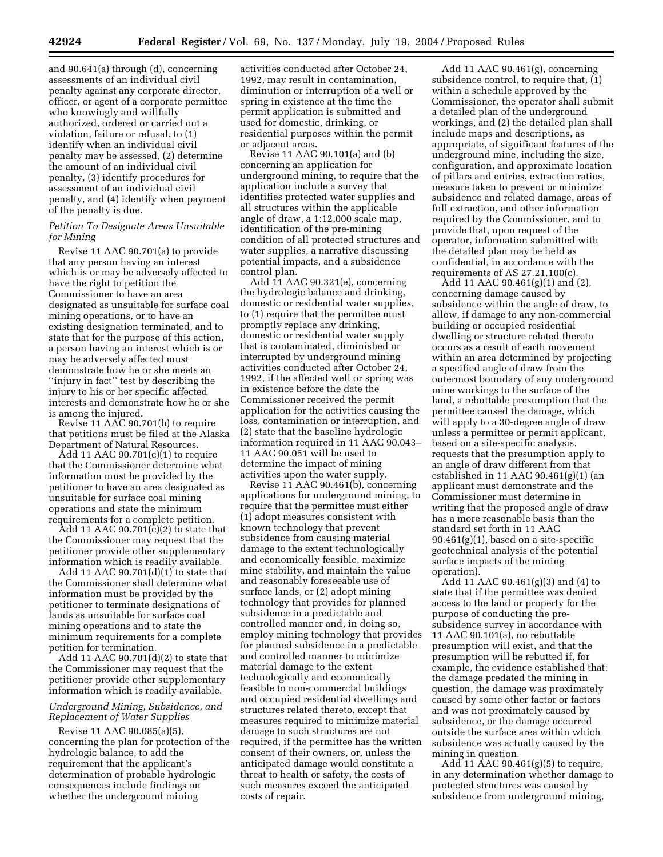and 90.641(a) through (d), concerning assessments of an individual civil penalty against any corporate director, officer, or agent of a corporate permittee who knowingly and willfully authorized, ordered or carried out a violation, failure or refusal, to (1) identify when an individual civil penalty may be assessed, (2) determine the amount of an individual civil penalty, (3) identify procedures for assessment of an individual civil penalty, and (4) identify when payment of the penalty is due.

# *Petition To Designate Areas Unsuitable for Mining*

Revise 11 AAC 90.701(a) to provide that any person having an interest which is or may be adversely affected to have the right to petition the Commissioner to have an area designated as unsuitable for surface coal mining operations, or to have an existing designation terminated, and to state that for the purpose of this action, a person having an interest which is or may be adversely affected must demonstrate how he or she meets an ''injury in fact'' test by describing the injury to his or her specific affected interests and demonstrate how he or she is among the injured.

Revise 11 AAC 90.701(b) to require that petitions must be filed at the Alaska Department of Natural Resources.

Add 11 AAC 90.701(c)(1) to require that the Commissioner determine what information must be provided by the petitioner to have an area designated as unsuitable for surface coal mining operations and state the minimum requirements for a complete petition.

Add 11 AAC 90.701(c)(2) to state that the Commissioner may request that the petitioner provide other supplementary information which is readily available.

Add 11 AAC  $90.701(d)(1)$  to state that the Commissioner shall determine what information must be provided by the petitioner to terminate designations of lands as unsuitable for surface coal mining operations and to state the minimum requirements for a complete petition for termination.

Add 11 AAC 90.701(d)(2) to state that the Commissioner may request that the petitioner provide other supplementary information which is readily available.

# *Underground Mining, Subsidence, and Replacement of Water Supplies*

Revise 11 AAC 90.085(a)(5), concerning the plan for protection of the hydrologic balance, to add the requirement that the applicant's determination of probable hydrologic consequences include findings on whether the underground mining

activities conducted after October 24, 1992, may result in contamination, diminution or interruption of a well or spring in existence at the time the permit application is submitted and used for domestic, drinking, or residential purposes within the permit or adjacent areas.

Revise 11 AAC 90.101(a) and (b) concerning an application for underground mining, to require that the application include a survey that identifies protected water supplies and all structures within the applicable angle of draw, a 1:12,000 scale map, identification of the pre-mining condition of all protected structures and water supplies, a narrative discussing potential impacts, and a subsidence control plan.

Add 11 AAC 90.321(e), concerning the hydrologic balance and drinking, domestic or residential water supplies, to (1) require that the permittee must promptly replace any drinking, domestic or residential water supply that is contaminated, diminished or interrupted by underground mining activities conducted after October 24, 1992, if the affected well or spring was in existence before the date the Commissioner received the permit application for the activities causing the loss, contamination or interruption, and (2) state that the baseline hydrologic information required in 11 AAC 90.043– 11 AAC 90.051 will be used to determine the impact of mining activities upon the water supply.

Revise 11 AAC 90.461(b), concerning applications for underground mining, to require that the permittee must either (1) adopt measures consistent with known technology that prevent subsidence from causing material damage to the extent technologically and economically feasible, maximize mine stability, and maintain the value and reasonably foreseeable use of surface lands, or (2) adopt mining technology that provides for planned subsidence in a predictable and controlled manner and, in doing so, employ mining technology that provides for planned subsidence in a predictable and controlled manner to minimize material damage to the extent technologically and economically feasible to non-commercial buildings and occupied residential dwellings and structures related thereto, except that measures required to minimize material damage to such structures are not required, if the permittee has the written consent of their owners, or, unless the anticipated damage would constitute a threat to health or safety, the costs of such measures exceed the anticipated costs of repair.

Add 11 AAC 90.461(g), concerning subsidence control, to require that, (1) within a schedule approved by the Commissioner, the operator shall submit a detailed plan of the underground workings, and (2) the detailed plan shall include maps and descriptions, as appropriate, of significant features of the underground mine, including the size, configuration, and approximate location of pillars and entries, extraction ratios, measure taken to prevent or minimize subsidence and related damage, areas of full extraction, and other information required by the Commissioner, and to provide that, upon request of the operator, information submitted with the detailed plan may be held as confidential, in accordance with the requirements of AS  $27.21.100(c)$ .

Add 11 AAC 90.461(g)(1) and (2), concerning damage caused by subsidence within the angle of draw, to allow, if damage to any non-commercial building or occupied residential dwelling or structure related thereto occurs as a result of earth movement within an area determined by projecting a specified angle of draw from the outermost boundary of any underground mine workings to the surface of the land, a rebuttable presumption that the permittee caused the damage, which will apply to a 30-degree angle of draw unless a permittee or permit applicant, based on a site-specific analysis, requests that the presumption apply to an angle of draw different from that established in 11 AAC 90.461(g)(1) (an applicant must demonstrate and the Commissioner must determine in writing that the proposed angle of draw has a more reasonable basis than the standard set forth in 11 AAC  $90.461(g)(1)$ , based on a site-specific geotechnical analysis of the potential surface impacts of the mining operation).

Add 11 AAC 90.461(g)(3) and (4) to state that if the permittee was denied access to the land or property for the purpose of conducting the presubsidence survey in accordance with 11 AAC 90.101(a), no rebuttable presumption will exist, and that the presumption will be rebutted if, for example, the evidence established that: the damage predated the mining in question, the damage was proximately caused by some other factor or factors and was not proximately caused by subsidence, or the damage occurred outside the surface area within which subsidence was actually caused by the mining in question.

Add  $11$  AAC 90.461(g)(5) to require, in any determination whether damage to protected structures was caused by subsidence from underground mining,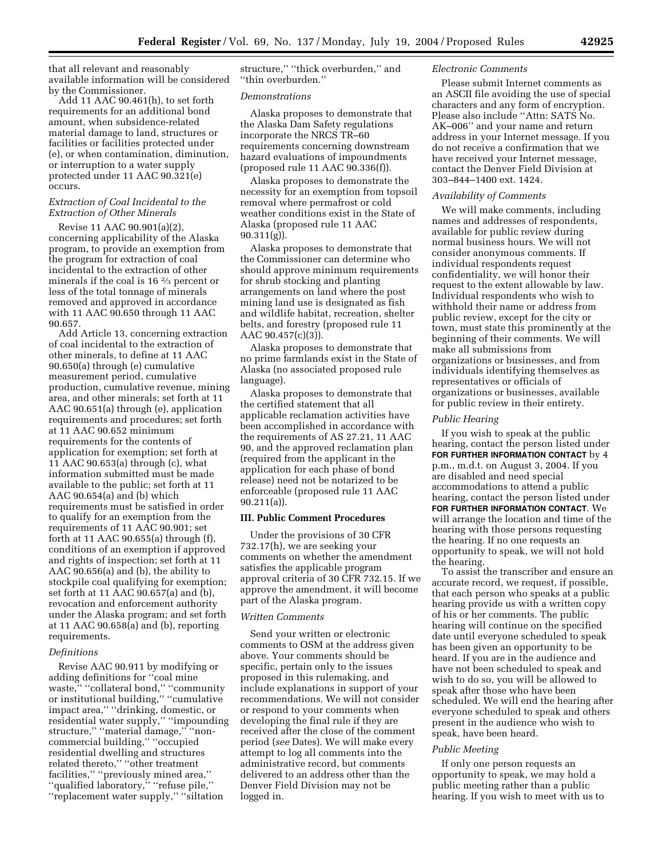that all relevant and reasonably available information will be considered by the Commissioner.

Add 11 AAC 90.461(h), to set forth requirements for an additional bond amount, when subsidence-related material damage to land, structures or facilities or facilities protected under (e), or when contamination, diminution, or interruption to a water supply protected under 11 AAC 90.321(e) occurs.

# *Extraction of Coal Incidental to the Extraction of Other Minerals*

Revise 11 AAC 90.901(a)(2), concerning applicability of the Alaska program, to provide an exemption from the program for extraction of coal incidental to the extraction of other minerals if the coal is 16 2⁄3 percent or less of the total tonnage of minerals removed and approved in accordance with 11 AAC 90.650 through 11 AAC 90.657.

Add Article 13, concerning extraction of coal incidental to the extraction of other minerals, to define at 11 AAC 90.650(a) through (e) cumulative measurement period, cumulative production, cumulative revenue, mining area, and other minerals; set forth at 11 AAC 90.651(a) through (e), application requirements and procedures; set forth at 11 AAC 90.652 minimum requirements for the contents of application for exemption; set forth at 11 AAC 90.653(a) through (c), what information submitted must be made available to the public; set forth at 11 AAC 90.654(a) and (b) which requirements must be satisfied in order to qualify for an exemption from the requirements of 11 AAC 90.901; set forth at 11 AAC 90.655(a) through (f), conditions of an exemption if approved and rights of inspection; set forth at 11 AAC 90.656(a) and (b), the ability to stockpile coal qualifying for exemption; set forth at 11 AAC 90.657(a) and (b), revocation and enforcement authority under the Alaska program; and set forth at 11 AAC 90.658(a) and (b), reporting requirements.

# *Definitions*

Revise AAC 90.911 by modifying or adding definitions for ''coal mine waste,'' ''collateral bond,'' ''community or institutional building,'' ''cumulative impact area,'' ''drinking, domestic, or residential water supply,'' ''impounding structure,'' ''material damage,'' ''noncommercial building,'' ''occupied residential dwelling and structures related thereto,'' ''other treatment facilities,'' ''previously mined area,'' ''qualified laboratory,'' ''refuse pile,'' ''replacement water supply,'' ''siltation

structure," "thick overburden," and ''thin overburden.''

## *Demonstrations*

Alaska proposes to demonstrate that the Alaska Dam Safety regulations incorporate the NRCS TR–60 requirements concerning downstream hazard evaluations of impoundments (proposed rule 11 AAC 90.336(f)).

Alaska proposes to demonstrate the necessity for an exemption from topsoil removal where permafrost or cold weather conditions exist in the State of Alaska (proposed rule 11 AAC  $90.311(g)$ ).

Alaska proposes to demonstrate that the Commissioner can determine who should approve minimum requirements for shrub stocking and planting arrangements on land where the post mining land use is designated as fish and wildlife habitat, recreation, shelter belts, and forestry (proposed rule 11 AAC  $90.457(c)(3)$ ).

Alaska proposes to demonstrate that no prime farmlands exist in the State of Alaska (no associated proposed rule language).

Alaska proposes to demonstrate that the certified statement that all applicable reclamation activities have been accomplished in accordance with the requirements of AS 27.21, 11 AAC 90, and the approved reclamation plan (required from the applicant in the application for each phase of bond release) need not be notarized to be enforceable (proposed rule 11 AAC 90.211(a)).

# **III. Public Comment Procedures**

Under the provisions of 30 CFR 732.17(h), we are seeking your comments on whether the amendment satisfies the applicable program approval criteria of 30 CFR 732.15. If we approve the amendment, it will become part of the Alaska program.

# *Written Comments*

Send your written or electronic comments to OSM at the address given above. Your comments should be specific, pertain only to the issues proposed in this rulemaking, and include explanations in support of your recommendations. We will not consider or respond to your comments when developing the final rule if they are received after the close of the comment period (*see* Dates). We will make every attempt to log all comments into the administrative record, but comments delivered to an address other than the Denver Field Division may not be logged in.

### *Electronic Comments*

Please submit Internet comments as an ASCII file avoiding the use of special characters and any form of encryption. Please also include ''Attn: SATS No. AK–006'' and your name and return address in your Internet message. If you do not receive a confirmation that we have received your Internet message, contact the Denver Field Division at 303–844–1400 ext. 1424.

# *Availability of Comments*

We will make comments, including names and addresses of respondents, available for public review during normal business hours. We will not consider anonymous comments. If individual respondents request confidentiality, we will honor their request to the extent allowable by law. Individual respondents who wish to withhold their name or address from public review, except for the city or town, must state this prominently at the beginning of their comments. We will make all submissions from organizations or businesses, and from individuals identifying themselves as representatives or officials of organizations or businesses, available for public review in their entirety.

#### *Public Hearing*

If you wish to speak at the public hearing, contact the person listed under **FOR FURTHER INFORMATION CONTACT** by 4 p.m., m.d.t. on August 3, 2004. If you are disabled and need special accommodations to attend a public hearing, contact the person listed under **FOR FURTHER INFORMATION CONTACT**. We will arrange the location and time of the hearing with those persons requesting the hearing. If no one requests an opportunity to speak, we will not hold the hearing.

To assist the transcriber and ensure an accurate record, we request, if possible, that each person who speaks at a public hearing provide us with a written copy of his or her comments. The public hearing will continue on the specified date until everyone scheduled to speak has been given an opportunity to be heard. If you are in the audience and have not been scheduled to speak and wish to do so, you will be allowed to speak after those who have been scheduled. We will end the hearing after everyone scheduled to speak and others present in the audience who wish to speak, have been heard.

### *Public Meeting*

If only one person requests an opportunity to speak, we may hold a public meeting rather than a public hearing. If you wish to meet with us to